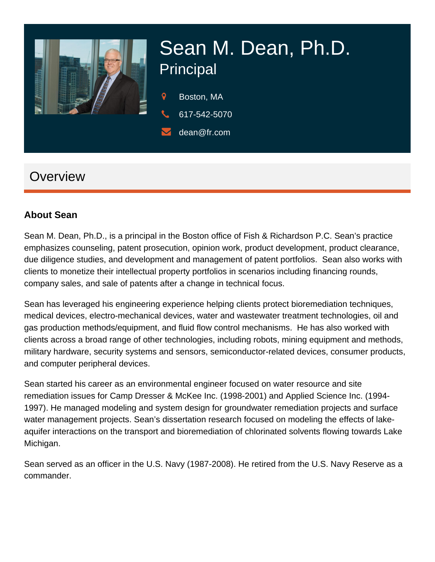

# Sean M. Dean, Ph.D. Principal

- 9 Boston, MA
- 617-542-5070
	- dean@fr.com

# **Overview**

#### **About Sean**

Sean M. Dean, Ph.D., is a principal in the Boston office of Fish & Richardson P.C. Sean's practice emphasizes counseling, patent prosecution, opinion work, product development, product clearance, due diligence studies, and development and management of patent portfolios. Sean also works with clients to monetize their intellectual property portfolios in scenarios including financing rounds, company sales, and sale of patents after a change in technical focus.

Sean has leveraged his engineering experience helping clients protect bioremediation techniques, medical devices, electro-mechanical devices, water and wastewater treatment technologies, oil and gas production methods/equipment, and fluid flow control mechanisms. He has also worked with clients across a broad range of other technologies, including robots, mining equipment and methods, military hardware, security systems and sensors, semiconductor-related devices, consumer products, and computer peripheral devices.

Sean started his career as an environmental engineer focused on water resource and site remediation issues for Camp Dresser & McKee Inc. (1998-2001) and Applied Science Inc. (1994- 1997). He managed modeling and system design for groundwater remediation projects and surface water management projects. Sean's dissertation research focused on modeling the effects of lakeaquifer interactions on the transport and bioremediation of chlorinated solvents flowing towards Lake Michigan.

Sean served as an officer in the U.S. Navy (1987-2008). He retired from the U.S. Navy Reserve as a commander.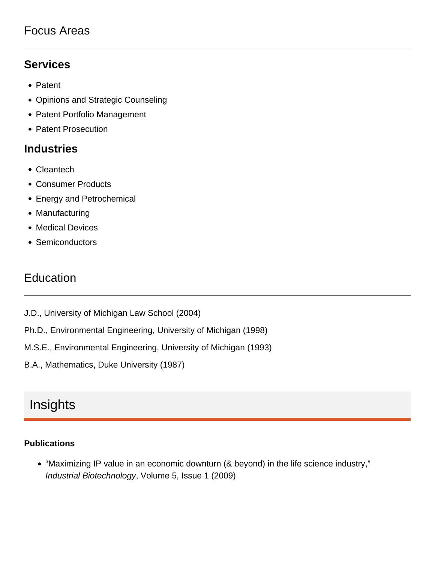### Focus Areas

#### **Services**

- Patent
- Opinions and Strategic Counseling
- Patent Portfolio Management
- Patent Prosecution

#### **Industries**

- Cleantech
- Consumer Products
- Energy and Petrochemical
- Manufacturing
- Medical Devices
- Semiconductors

## **Education**

- J.D., University of Michigan Law School (2004)
- Ph.D., Environmental Engineering, University of Michigan (1998)
- M.S.E., Environmental Engineering, University of Michigan (1993)
- B.A., Mathematics, Duke University (1987)

## Insights

#### **Publications**

"Maximizing IP value in an economic downturn (& beyond) in the life science industry," Industrial Biotechnology, Volume 5, Issue 1 (2009)